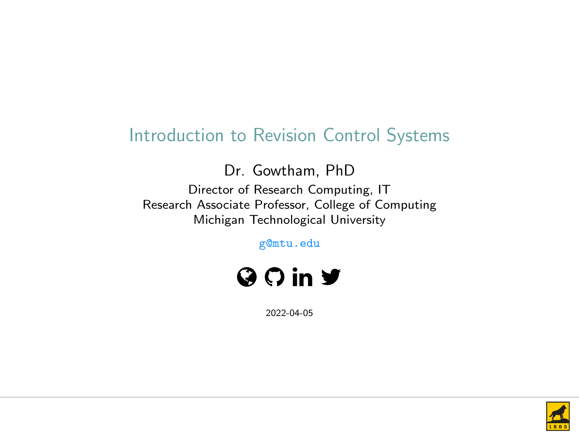### Introduction to Revision Control Systems

Dr. Gowtham, PhD

Director of Research Computing, IT Research Associate Professor, College of Computing Michigan Technological University

g@mtu.edu



2022-04-05

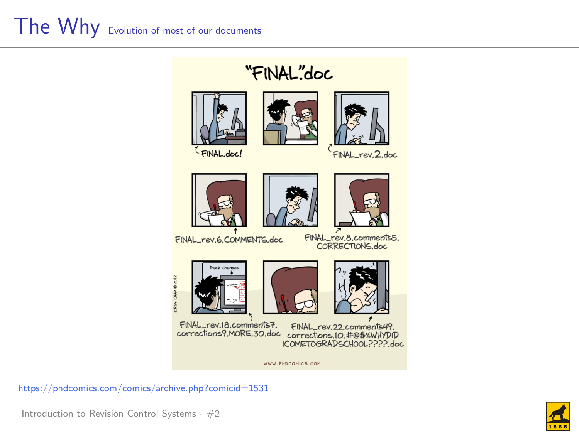### "FINAL"doc





FINAL\_rev. 2.doc







FINAL rev.6.COMMENTS.doc

FINAL\_rev.8.comments5.<br>CORRECTIONS.doc







FINAL\_rev.18.comments7. FINAL\_rev.22.comments49 corrections9.MORE.30.doc corrections.10.#@\$%WHYDID ICOMETOGRADSCHOOL2222 doc

WWW.PHDCOMICS.COM



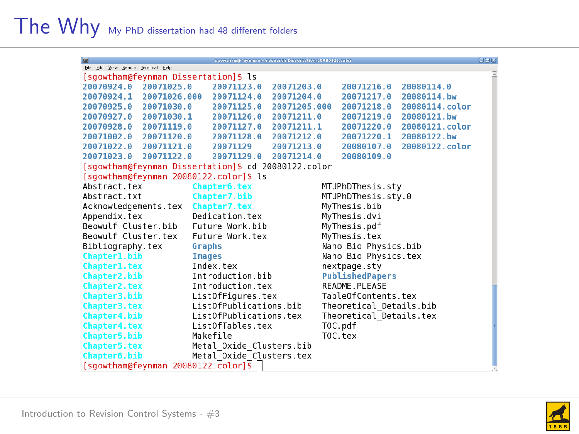| ब्रि                                                |                          | sgowtham [ feynman:   Fesnarch Dissertation 20080122.color |                         |                           | eleixi |  |
|-----------------------------------------------------|--------------------------|------------------------------------------------------------|-------------------------|---------------------------|--------|--|
| Ele Edit View Search Terminal Help                  |                          |                                                            |                         |                           | 同      |  |
| [sqowtham@feynman Dissertation]\$ ls                |                          |                                                            |                         |                           |        |  |
| 20070924.0 20071025.0                               | 20071123.0               | 20071203.0                                                 | 20071216.0              | 20080114.0                |        |  |
| 20070924.1 20071026.000                             | 20071124.0               | 20071204.0                                                 | 20071217.0 20080114.bw  |                           |        |  |
| 20070925.0<br>20071030.0                            | 20071125.0               | 20071205.000                                               | 20071218.0              | 20080114.color            |        |  |
| 20070927.0<br>20071030.1                            | 20071126.0               | 20071211.0                                                 | 20071219.0              | 20080121.bw               |        |  |
| 20070928.0 20071119.0                               | 20071127.0               | 20071211.1                                                 |                         | 20071220.0 20080121.color |        |  |
| 20071002.0 20071120.0                               | 20071128.0               | 20071212.0                                                 | 20071220.1              | 20080122.bw               |        |  |
| 20071022.0 20071121.0                               | 20071129                 | 20071213.0                                                 | 20080107.0              | 20080122.color            |        |  |
| 20071023.0 20071122.0                               | 20071129.0               | 20071214.0                                                 | 20080109.0              |                           |        |  |
| [sqowtham@feynman Dissertation]\$ cd 20080122.color |                          |                                                            |                         |                           |        |  |
| [sqowtham@fevnman 20080122.color]\$ ls              |                          |                                                            |                         |                           |        |  |
| Abstract.tex                                        | Chapter6.tex             |                                                            | MTUPhDThesis.sty        |                           |        |  |
| Abstract.txt                                        | Chapter7.bib             |                                                            | MTUPhDThesis.sty.0      |                           |        |  |
| Acknowledgements.tex                                | Chapter7.tex             |                                                            | MyThesis.bib            |                           |        |  |
| Appendix.tex                                        | Dedication.tex           |                                                            | MyThesis.dvi            |                           |        |  |
| Beowulf Cluster.bib                                 | Future Work.bib          |                                                            | MyThesis.pdf            |                           |        |  |
| Beowulf Cluster.tex                                 | Future Work.tex          |                                                            | MyThesis.tex            |                           |        |  |
| Bibliography.tex                                    | Graphs                   |                                                            | Nano Bio Physics.bib    |                           |        |  |
| Chapter1.bib                                        | <b>Images</b>            |                                                            | Nano Bio Physics.tex    |                           |        |  |
| Chapter1.tex                                        | Index.tex                |                                                            | nextpage.sty            |                           |        |  |
| Chapter2.bib                                        | Introduction.bib         |                                                            | <b>PublishedPapers</b>  |                           |        |  |
| Chapter2.tex                                        | Introduction.tex         |                                                            | README.PLEASE           |                           |        |  |
| Chapter3.bib                                        | ListOfFigures.tex        |                                                            | TableOfContents.tex     |                           |        |  |
| Chapter3.tex                                        | ListOfPublications.bib   |                                                            | Theoretical Details.bib |                           |        |  |
| Chapter4.bib                                        | ListOfPublications.tex   |                                                            | Theoretical Details.tex |                           |        |  |
| Chapter4.tex                                        | ListOfTables.tex         |                                                            | TOC.pdf                 |                           |        |  |
| Chapter5.bib                                        | Makefile                 |                                                            | TOC.tex                 |                           |        |  |
| Chapter5.tex                                        | Metal Oxide Clusters.bib |                                                            |                         |                           |        |  |
| Chapter6.bib                                        | Metal Oxide Clusters.tex |                                                            |                         |                           |        |  |
| [sgowtham@feynman 20080122.color]\$                 |                          |                                                            |                         |                           |        |  |

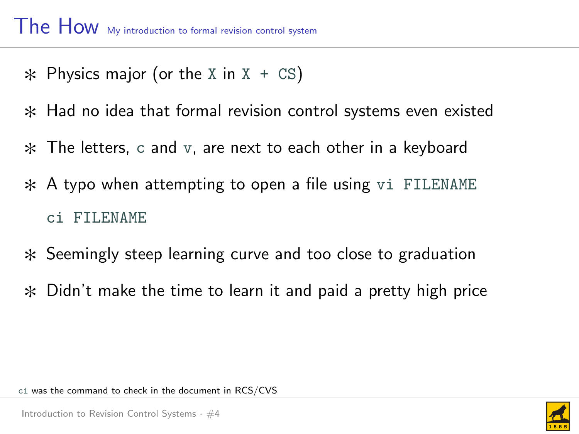- $*$  Physics major (or the X in X + CS)
- $*$  Had no idea that formal revision control systems even existed
- $*$  The letters, c and v, are next to each other in a keyboard
- $\ast$  A typo when attempting to open a file using vi FILENAME ci FILENAME
- $*$  Seemingly steep learning curve and too close to graduation
- $*$  Didn't make the time to learn it and paid a pretty high price

ci was the command to check in the document in RCS/CVS

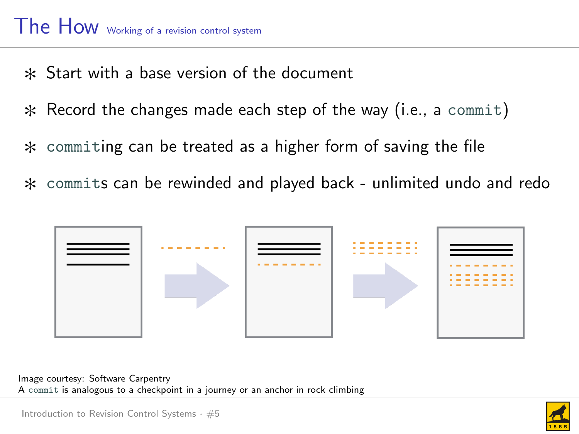### The How Working of a revision control system

- $*$  Start with a base version of the document
- $*$  Record the changes made each step of the way (i.e., a commit)
- $*$  commiting can be treated as a higher form of saving the file
- $*$  commits can be rewinded and played back unlimited undo and redo



Image courtesy: Software Carpentry A commit is analogous to a checkpoint in a journey or an anchor in rock climbing

Introduction to Revision Control Systems  $\cdot$  #5

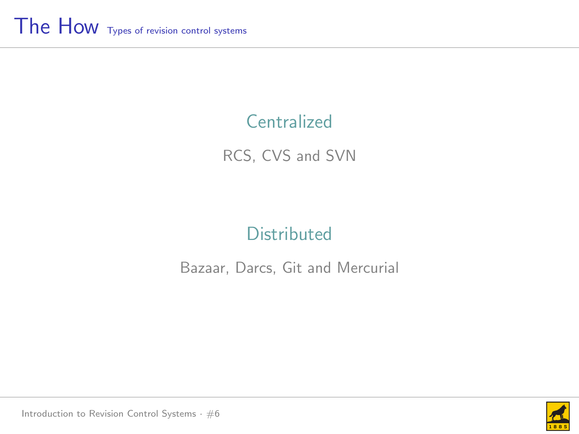### **Centralized**

RCS, CVS and SVN

### **Distributed**

### Bazaar, Darcs, Git and Mercurial



Introduction to Revision Control Systems  $·$  #6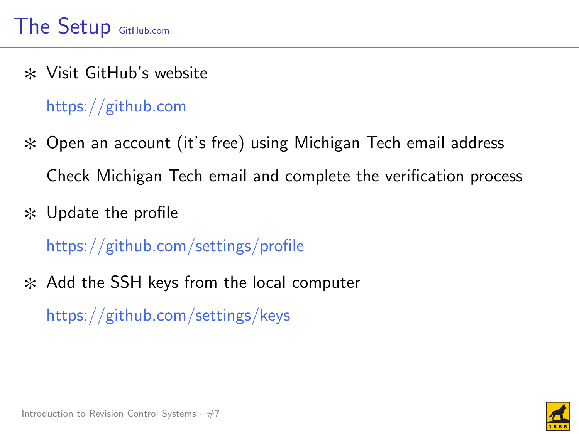$*$  Visit GitHub's website

### <https://github.com>

- $*$  Open an account (it's free) using Michigan Tech email address Check Michigan Tech email and complete the verification process
- $*$  Update the profile

<https://github.com/settings/profile>

 $*$  Add the SSH keys from the local computer <https://github.com/settings/keys>

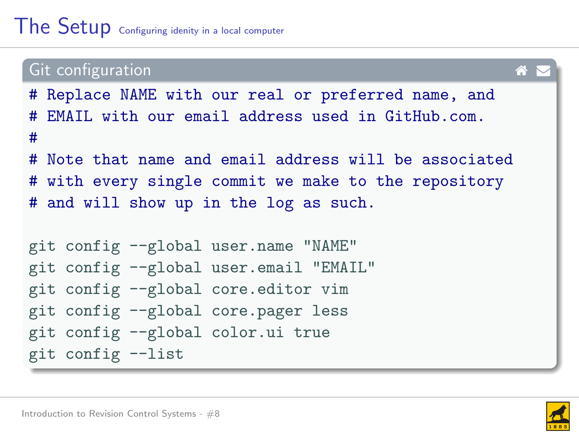### Git configuration and the continuum of the continuum of  $\mathbf A$ # Replace NAME with our real or preferred name, and # EMAIL with our email address used in GitHub.com. # # Note that name and email address will be associated # with every single commit we make to the repository # and will show up in the log as such. git config --global user.name "NAME" git config --global user.email "EMAIL" git config --global core.editor vim git config --global core.pager less git config --global color.ui true git config --list

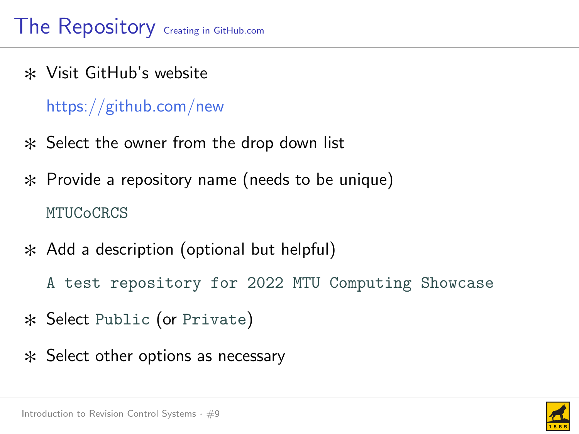$*$  Visit GitHub's website

### <https://github.com/new>

- $*$  Select the owner from the drop down list
- $*$  Provide a repository name (needs to be unique) **MTUCoCRCS**
- $*$  Add a description (optional but helpful)
	- A test repository for 2022 MTU Computing Showcase
- \* Select Public (or Private)
- $*$  Select other options as necessary

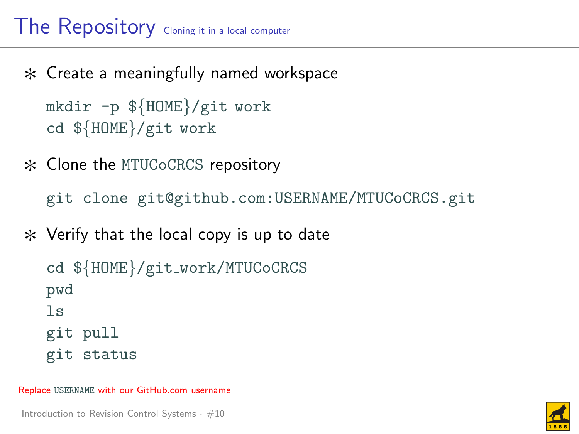# The Repository Cloning it in a local computer

 $*$  Create a meaningfully named workspace

```
mkdir -p ${HOME}/git_work
cd ${HOME}/git work
```
\* Clone the MTUCoCRCS repository

git clone git@github.com:USERNAME/MTUCoCRCS.git

 $*$  Verify that the local copy is up to date

```
cd ${HOME}/git work/MTUCoCRCS
pwd
\overline{\phantom{a}}git pull
git status
```
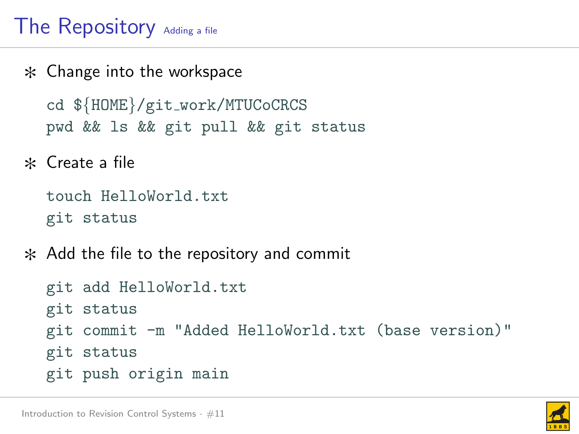# The Repository Adding a file

 $*$  Change into the workspace

cd \${HOME}/git work/MTUCoCRCS pwd && ls && git pull && git status

 $\ast$  Create a file

```
touch HelloWorld.txt
git status
```
 $*$  Add the file to the repository and commit

```
git add HelloWorld.txt
git status
git commit -m "Added HelloWorld.txt (base version)"
git status
git push origin main
```
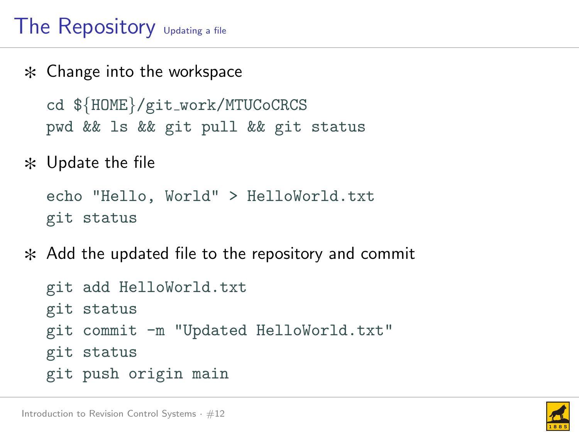# The Repository  $U_{\text{pdating a file}}$

 $*$  Change into the workspace

cd \${HOME}/git work/MTUCoCRCS pwd && ls && git pull && git status

 $*$  Update the file

echo "Hello, World" > HelloWorld.txt git status

 $*$  Add the updated file to the repository and commit

```
git add HelloWorld.txt
git status
git commit -m "Updated HelloWorld.txt"
git status
git push origin main
```
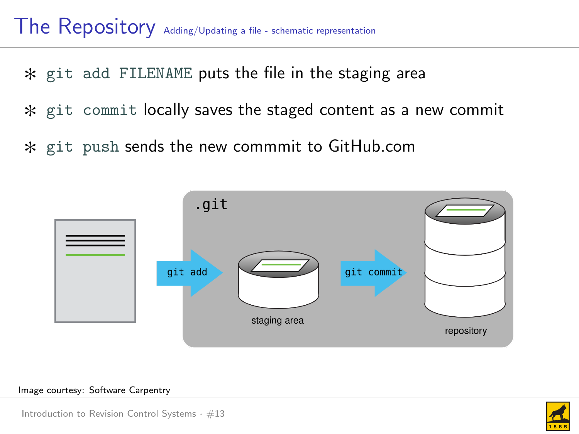$*$  git add FILENAME puts the file in the staging area

- $*$  git commit locally saves the staged content as a new commit
- $*$  git push sends the new commmit to GitHub.com



#### Image courtesy: Software Carpentry



Introduction to Revision Control Systems  $\cdot$  #13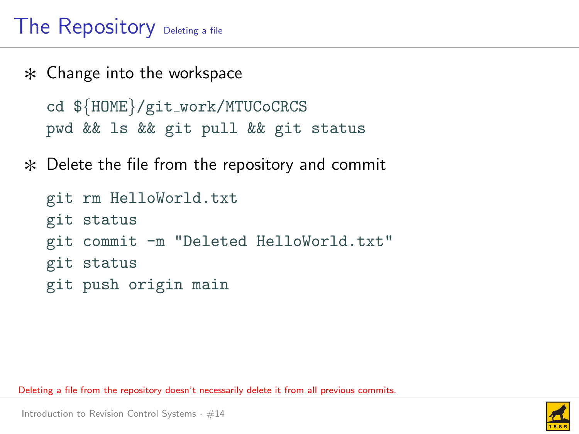# The Repository Deleting a file

- $*$  Change into the workspace cd \${HOME}/git work/MTUCoCRCS pwd && ls && git pull && git status
- $*$  Delete the file from the repository and commit

```
git rm HelloWorld.txt
git status
git commit -m "Deleted HelloWorld.txt"
git status
git push origin main
```
Deleting a file from the repository doesn't necessarily delete it from all previous commits.

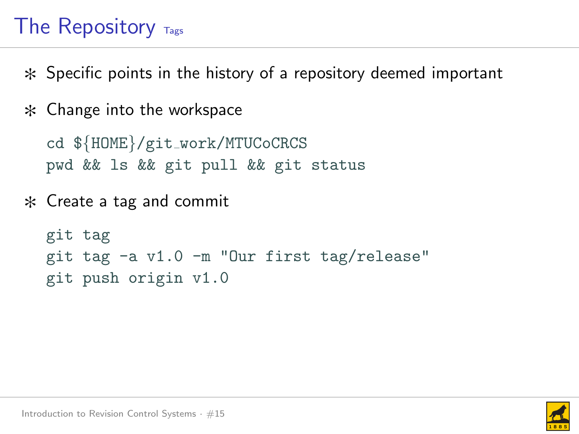# The Repository  $T_{\text{ags}}$

- $\ast$  Specific points in the history of a repository deemed important
- $*$  Change into the workspace

cd \${HOME}/git work/MTUCoCRCS pwd && ls && git pull && git status

 $*$  Create a tag and commit

```
git tag
git tag -a v1.0 -m "Our first tag/release"
git push origin v1.0
```
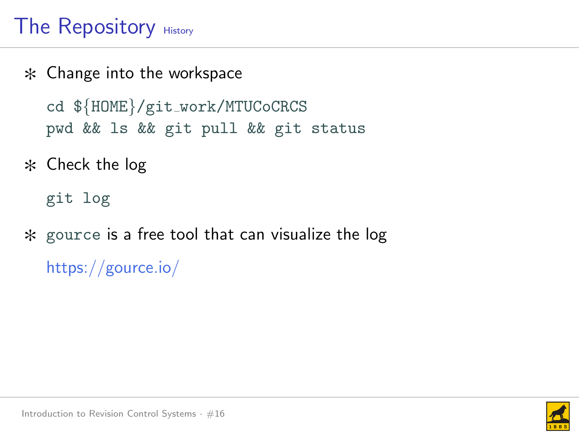# The Repository History

- $*$  Change into the workspace cd \${HOME}/git work/MTUCoCRCS pwd && ls && git pull && git status
- $*$  Check the log

git log

 $*$  gource is a free tool that can visualize the log <https://gource.io/>

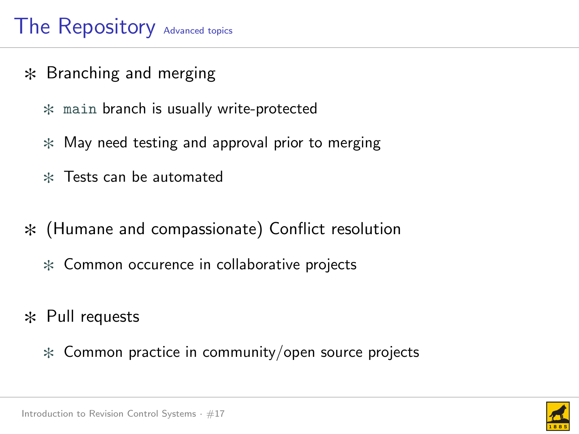# The Repository Advanced topics

- $*$  Branching and merging
	- $*$  main branch is usually write-protected
	- $*$  May need testing and approval prior to merging
	- $*$  Tests can be automated
- $*$  (Humane and compassionate) Conflict resolution
	- $*$  Common occurence in collaborative projects
- $*$  Pull requests
	- $*$  Common practice in community/open source projects

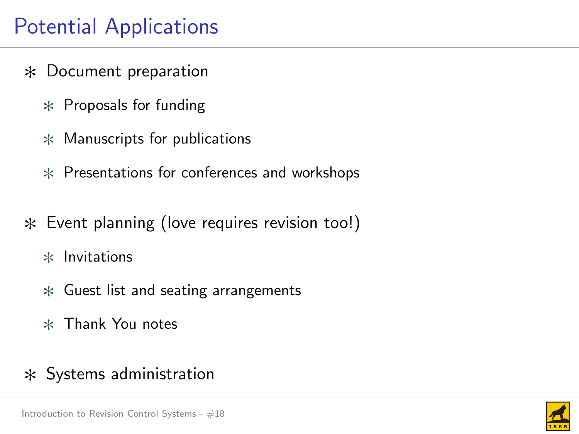# Potential Applications

- $*$  Document preparation
	- $*$  Proposals for funding
	- $*$  Manuscripts for publications
	- $*$  Presentations for conferences and workshops
- $*$  Event planning (love requires revision too!)
	- $*$  Invitations
	- $*$  Guest list and seating arrangements
	- $*$  Thank You notes

### $*$  Systems administration

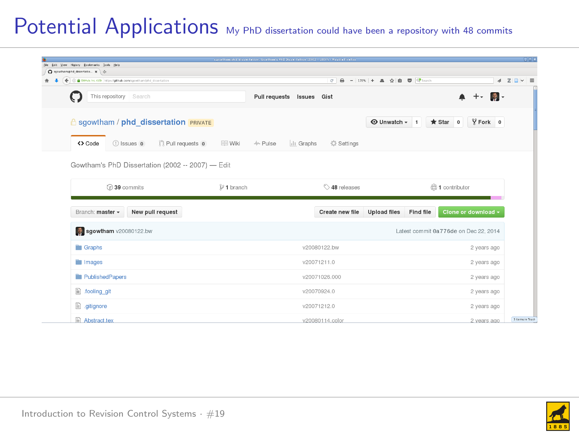### Potential Applications My PhD dissertation could have been a repository with 48 commits

| C sportheriding dissertatio x   -0-                   |                        |                           |                   | c 8 - 1998 + 8 g 8 @ @ seco   |           |                |                                       | $4 20 \times 3$ |
|-------------------------------------------------------|------------------------|---------------------------|-------------------|-------------------------------|-----------|----------------|---------------------------------------|-----------------|
| 6 0 8 BENA IN ON Hiss rettab combon formind doortator |                        |                           |                   |                               |           |                |                                       |                 |
| This repository Search                                |                        | Pull requests Issues Gist |                   |                               |           |                | A + 同-                                |                 |
| <b>A</b> sgowtham / phd dissertation <b>PRIVATE</b>   |                        |                           |                   | <b>O</b> Unwatch - 1 ★ Star 0 |           |                | $Y$ Fork $0$                          |                 |
| 11 Pull requests o<br><> Code<br>(1) Issues 0         | $\equiv$ Wiki          | -/~ Pulse<br>II. Graphs   | <b>C</b> Settings |                               |           |                |                                       |                 |
| Gowtham's PhD Dissertation (2002 -- 2007) - Edit      |                        |                           |                   |                               |           |                |                                       |                 |
| C 39 commits                                          |                        |                           | C 48 releases     |                               |           |                |                                       |                 |
|                                                       | $\mathcal{V}$ 1 branch |                           |                   |                               |           | 命1 contributor |                                       |                 |
| New pull request<br>Branch: master -                  |                        |                           | Create new file   | <b>Upload files</b>           | Find file |                | Clone or download -                   |                 |
| sgowtham v20080122.bw                                 |                        |                           |                   |                               |           |                | Latest commit 0a776de on Dec 22, 2014 |                 |
| <b>Example</b>                                        |                        |                           | v20080122.bw      |                               |           |                | 2 years ago                           |                 |
| <b>in</b> Images                                      |                        |                           | v20071211.0       |                               |           |                | 2 years ago                           |                 |
| PublishedPapers                                       |                        |                           | v20071026.000     |                               |           |                | 2 years ago                           |                 |
| $\mathbb{R}$ .fooling git                             |                        |                           | v20070924.0       |                               |           |                | 2 years ago                           |                 |

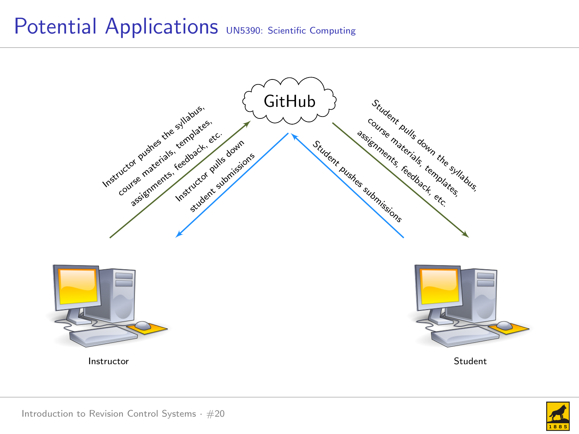### Potential Applications UN5390: Scientific Computing